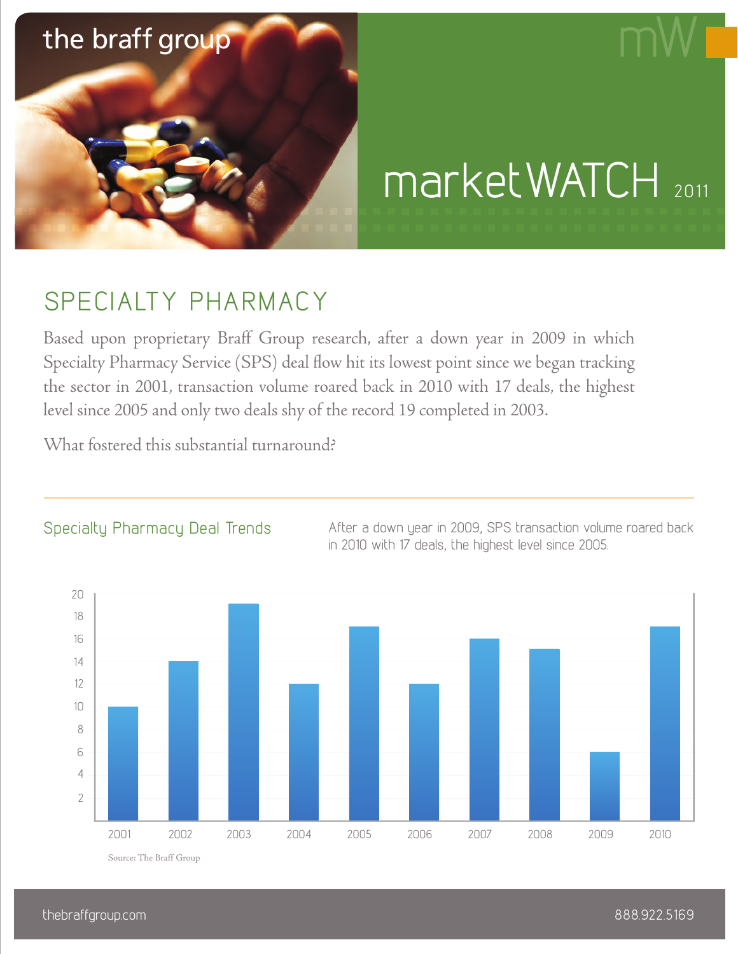

# marketWATCH 2011

# SPECIALTY PHARMACY

Based upon proprietary Braff Group research, after a down year in 2009 in which Specialty Pharmacy Service (SPS) deal flow hit its lowest point since we began tracking the sector in 2001, transaction volume roared back in 2010 with 17 deals, the highest level since 2005 and only two deals shy of the record 19 completed in 2003.

What fostered this substantial turnaround?



## Specialty Pharmacy Deal Trends

After a down year in 2009, SPS transaction volume roared back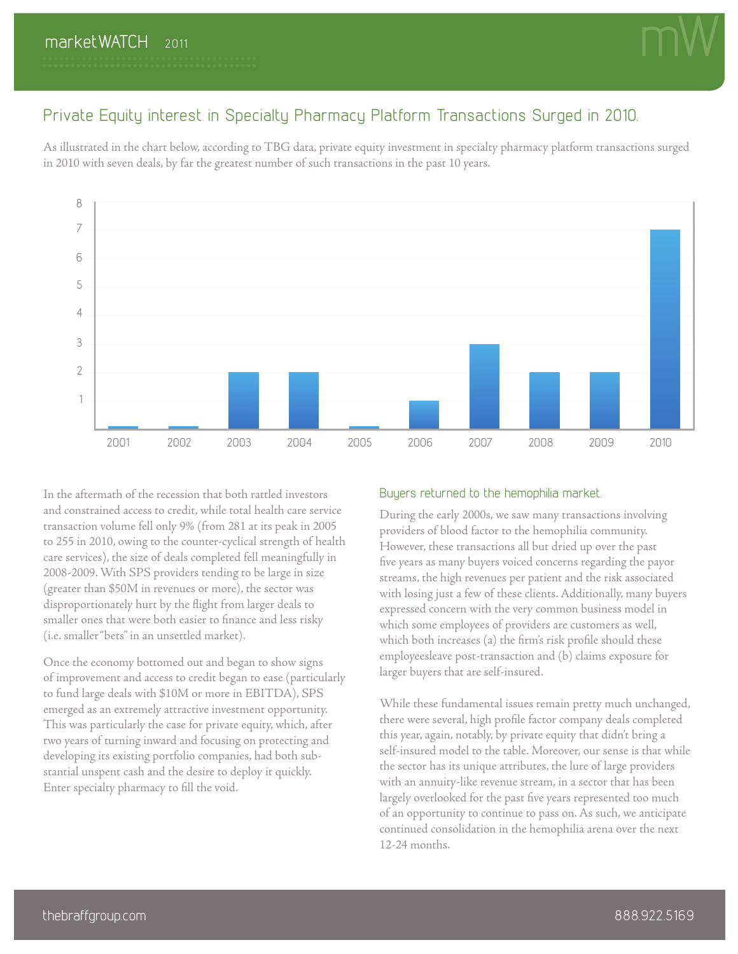

### Private Equity interest in Specialty Pharmacy Platform Transactions Surged in 2010.

As illustrated in the chart below, according to TBG data, private equity investment in specialty pharmacy platform transactions surged in 2010 with seven deals, by far the greatest number of such transactions in the past 10 years.



In the aftermath of the recession that both rattled investors and constrained access to credit, while total health care service transaction volume fell only 9% (from 281 at its peak in 2005 to 255 in 2010, owing to the counter-cyclical strength of health care services), the size of deals completed fell meaningfully in 2008-2009. With SPS providers tending to be large in size (greater than \$50M in revenues or more), the sector was disproportionately hurt by the flight from larger deals to smaller ones that were both easier to finance and less risky (i.e. smaller "bets" in an unsettled market).

Once the economy bottomed out and began to show signs of improvement and access to credit began to ease (particularly to fund large deals with \$10M or more in EBITDA), SPS emerged as an extremely attractive investment opportunity. This was particularly the case for private equity, which, after two years of turning inward and focusing on protecting and developing its existing portfolio companies, had both substantial unspent cash and the desire to deploy it quickly. Enter specialty pharmacy to fill the void.

#### Buyers returned to the hemophilia market.

During the early 2000s, we saw many transactions involving providers of blood factor to the hemophilia community. However, these transactions all but dried up over the past five years as many buyers voiced concerns regarding the payor streams, the high revenues per patient and the risk associated with losing just a few of these clients. Additionally, many buyers expressed concern with the very common business model in which some employees of providers are customers as well, which both increases (a) the firm's risk profile should these employeesleave post-transaction and (b) claims exposure for larger buyers that are self-insured.

While these fundamental issues remain pretty much unchanged, there were several, high profile factor company deals completed this year, again, notably, by private equity that didn't bring a self-insured model to the table. Moreover, our sense is that while the sector has its unique attributes, the lure of large providers with an annuity-like revenue stream, in a sector that has been largely overlooked for the past five years represented too much of an opportunity to continue to pass on. As such, we anticipate continued consolidation in the hemophilia arena over the next 12-24 months.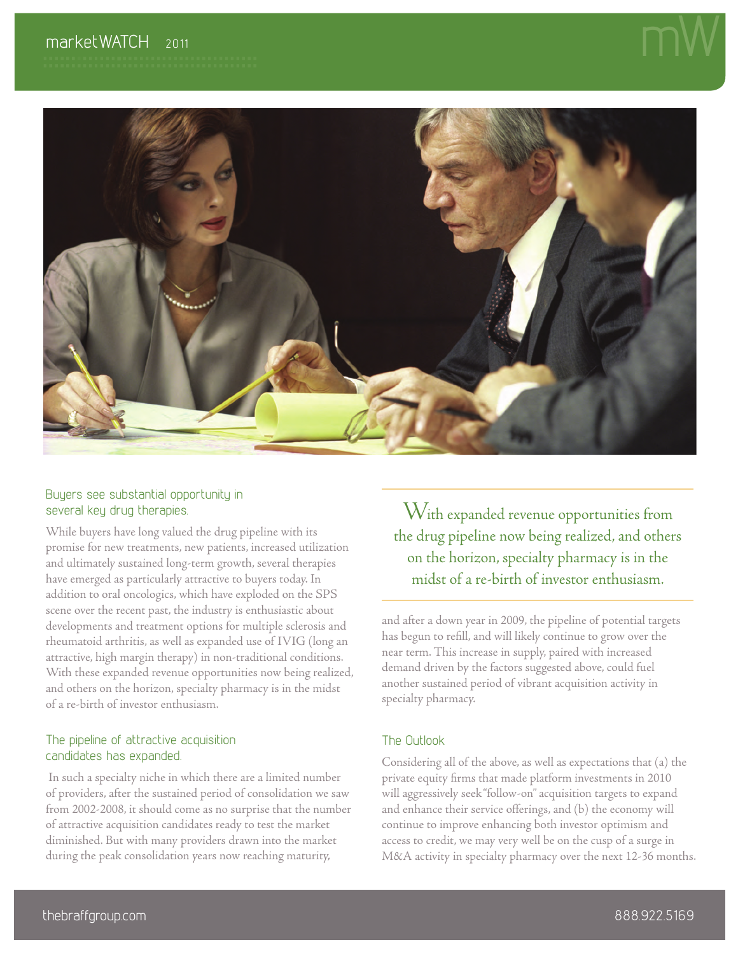

#### Buyers see substantial opportunity in several key drug therapies.

While buyers have long valued the drug pipeline with its promise for new treatments, new patients, increased utilization and ultimately sustained long-term growth, several therapies have emerged as particularly attractive to buyers today. In addition to oral oncologics, which have exploded on the SPS scene over the recent past, the industry is enthusiastic about developments and treatment options for multiple sclerosis and rheumatoid arthritis, as well as expanded use of IVIG (long an attractive, high margin therapy) in non-traditional conditions. With these expanded revenue opportunities now being realized, and others on the horizon, specialty pharmacy is in the midst of a re-birth of investor enthusiasm.

#### The pipeline of attractive acquisition candidates has expanded.

 In such a specialty niche in which there are a limited number of providers, after the sustained period of consolidation we saw from 2002-2008, it should come as no surprise that the number of attractive acquisition candidates ready to test the market diminished. But with many providers drawn into the market during the peak consolidation years now reaching maturity,

With expanded revenue opportunities from the drug pipeline now being realized, and others on the horizon, specialty pharmacy is in the midst of a re-birth of investor enthusiasm.

and after a down year in 2009, the pipeline of potential targets has begun to refill, and will likely continue to grow over the near term. This increase in supply, paired with increased demand driven by the factors suggested above, could fuel another sustained period of vibrant acquisition activity in specialty pharmacy.

#### The Outlook

Considering all of the above, as well as expectations that (a) the private equity firms that made platform investments in 2010 will aggressively seek "follow-on" acquisition targets to expand and enhance their service offerings, and (b) the economy will continue to improve enhancing both investor optimism and access to credit, we may very well be on the cusp of a surge in M&A activity in specialty pharmacy over the next 12-36 months.